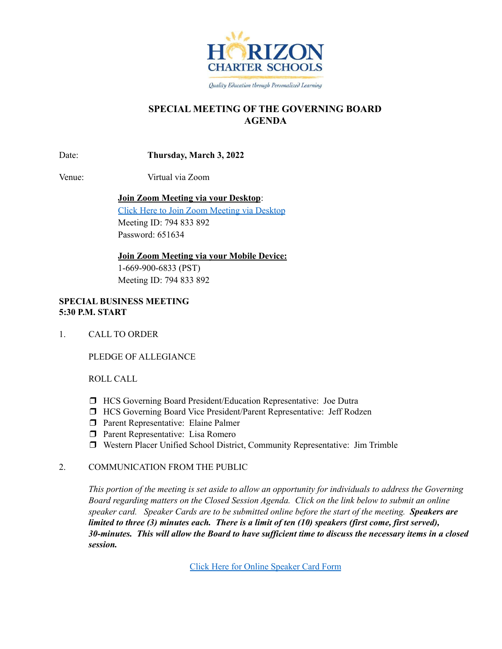

Quality Education through Personalized Learning

# **SPECIAL MEETING OF THE GOVERNING BOARD AGENDA**

Date: **Thursday, March 3, 2022**

Venue: Virtual via Zoom

**Join Zoom Meeting via your Desktop**:

Click Here to Join Zoom [Meeting](https://zoom.us/j/794833892?pwd=eDJTb0MyQ1g2NDBxN3pPY2ZpdXI2UT09) via Desktop Meeting ID: 794 833 892 Password: 651634

**Join Zoom Meeting via your Mobile Device:** 1-669-900-6833 (PST) Meeting ID: 794 833 892

# **SPECIAL BUSINESS MEETING 5:30 P.M. START**

1. CALL TO ORDER

PLEDGE OF ALLEGIANCE

ROLL CALL

- ❒ HCS Governing Board President/Education Representative: Joe Dutra
- ❒ HCS Governing Board Vice President/Parent Representative: Jeff Rodzen
- ❒ Parent Representative: Elaine Palmer
- ❒ Parent Representative: Lisa Romero
- ❒ Western Placer Unified School District, Community Representative: Jim Trimble

# 2. COMMUNICATION FROM THE PUBLIC

This portion of the meeting is set aside to allow an opportunity for individuals to address the Governing *Board regarding matters on the Closed Session Agenda. Click on the link below to submit an online speaker card. Speaker Cards are to be submitted online before the start of the meeting. Speakers are* limited to three (3) minutes each. There is a limit of ten (10) speakers (first come, first served), 30-minutes. This will allow the Board to have sufficient time to discuss the necessary items in a closed *session.*

Click Here for Online [Speaker](https://forms.gle/1Ad7NmftiSuScxKCA) Card Form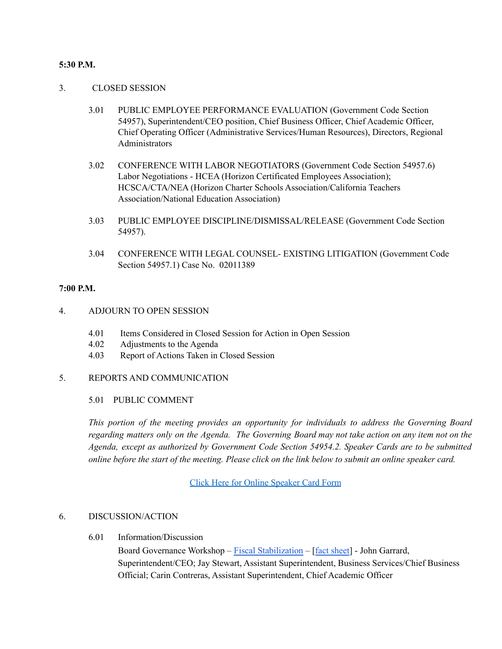## **5:30 P.M.**

### 3. CLOSED SESSION

- 3.01 PUBLIC EMPLOYEE PERFORMANCE EVALUATION (Government Code Section 54957), Superintendent/CEO position, Chief Business Officer, Chief Academic Officer, Chief Operating Officer (Administrative Services/Human Resources), Directors, Regional Administrators
- 3.02 CONFERENCE WITH LABOR NEGOTIATORS (Government Code Section 54957.6) Labor Negotiations - HCEA (Horizon Certificated Employees Association); HCSCA/CTA/NEA (Horizon Charter Schools Association/California Teachers Association/National Education Association)
- 3.03 PUBLIC EMPLOYEE DISCIPLINE/DISMISSAL/RELEASE (Government Code Section 54957).
- 3.04 CONFERENCE WITH LEGAL COUNSEL- EXISTING LITIGATION (Government Code Section 54957.1) Case No. 02011389

## **7:00 P.M.**

- 4. ADJOURN TO OPEN SESSION
	- 4.01 Items Considered in Closed Session for Action in Open Session
	- 4.02 Adjustments to the Agenda
	- 4.03 Report of Actions Taken in Closed Session

### 5. REPORTS AND COMMUNICATION

#### 5.01 PUBLIC COMMENT

*This portion of the meeting provides an opportunity for individuals to address the Governing Board* regarding matters only on the Agenda. The Governing Board may not take action on any item not on the *Agenda, except as authorized by Government Code Section 54954.2. Speaker Cards are to be submitted* online before the start of the meeting. Please click on the link below to submit an online speaker card.

Click Here for Online [Speaker](https://forms.gle/1Ad7NmftiSuScxKCA) Card Form

### 6. DISCUSSION/ACTION

6.01 Information/Discussion

Board Governance Workshop – Fiscal [Stabilization](https://docs.google.com/presentation/d/1fRSJCMI5MxC_9Fa7UyNOt2wMzaQN2MCn/edit?usp=sharing&ouid=106436144914709673495&rtpof=true&sd=true) – [fact [sheet](https://docs.google.com/document/d/1u9TMXwnojGI8PUJm3gu28sVYbYITjkBEfpzrX3aVcrM/edit?usp=sharing)] - John Garrard, Superintendent/CEO; Jay Stewart, Assistant Superintendent, Business Services/Chief Business Official; Carin Contreras, Assistant Superintendent, Chief Academic Officer